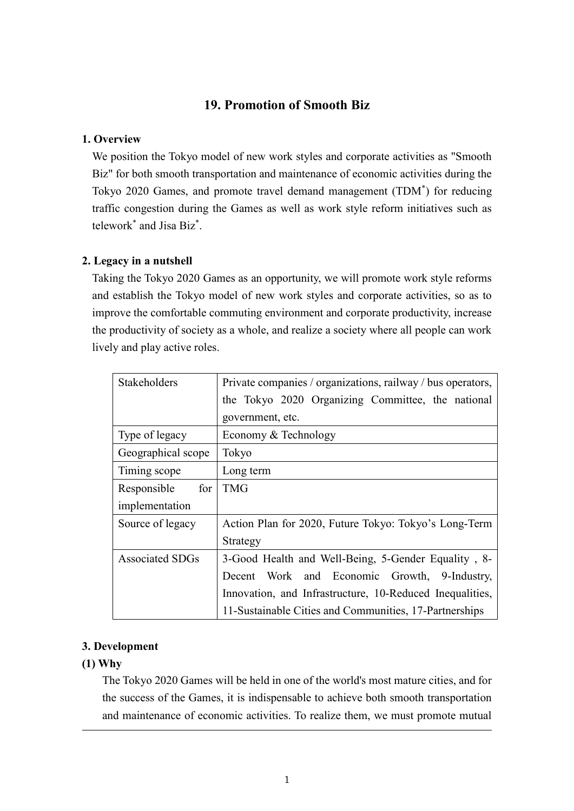### **19. Promotion of Smooth Biz**

### **1. Overview**

We position the Tokyo model of new work styles and corporate activities as "Smooth Biz" for both smooth transportation and maintenance of economic activities during the Tokyo 2020 Games, and promote travel demand management (TDM\* ) for reducing traffic congestion during the Games as well as work style reform initiatives such as telework\* and Jisa Biz\* .

#### **2. Legacy in a nutshell**

Taking the Tokyo 2020 Games as an opportunity, we will promote work style reforms and establish the Tokyo model of new work styles and corporate activities, so as to improve the comfortable commuting environment and corporate productivity, increase the productivity of society as a whole, and realize a society where all people can work lively and play active roles.

| Stakeholders           | Private companies / organizations, railway / bus operators, |
|------------------------|-------------------------------------------------------------|
|                        | the Tokyo 2020 Organizing Committee, the national           |
|                        | government, etc.                                            |
| Type of legacy         | Economy & Technology                                        |
| Geographical scope     | Tokyo                                                       |
| Timing scope           | Long term                                                   |
| for<br>Responsible     | <b>TMG</b>                                                  |
| implementation         |                                                             |
| Source of legacy       | Action Plan for 2020, Future Tokyo: Tokyo's Long-Term       |
|                        | Strategy                                                    |
| <b>Associated SDGs</b> | 3-Good Health and Well-Being, 5-Gender Equality, 8-         |
|                        | Decent Work and Economic Growth,<br>9-Industry,             |
|                        | Innovation, and Infrastructure, 10-Reduced Inequalities,    |
|                        | 11-Sustainable Cities and Communities, 17-Partnerships      |

### **3. Development**

### **(1) Why**

The Tokyo 2020 Games will be held in one of the world's most mature cities, and for the success of the Games, it is indispensable to achieve both smooth transportation and maintenance of economic activities. To realize them, we must promote mutual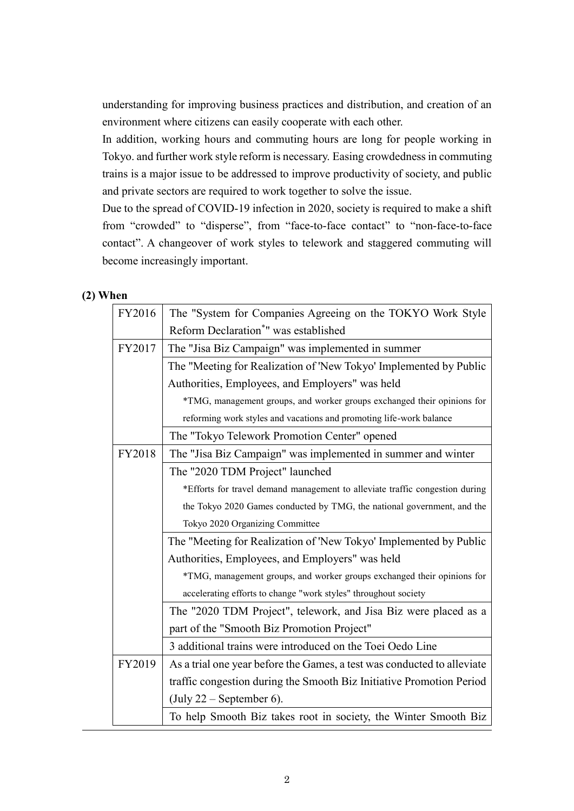understanding for improving business practices and distribution, and creation of an environment where citizens can easily cooperate with each other.

In addition, working hours and commuting hours are long for people working in Tokyo. and further work style reform is necessary. Easing crowdedness in commuting trains is a major issue to be addressed to improve productivity of society, and public and private sectors are required to work together to solve the issue.

Due to the spread of COVID-19 infection in 2020, society is required to make a shift from "crowded" to "disperse", from "face-to-face contact" to "non-face-to-face contact". A changeover of work styles to telework and staggered commuting will become increasingly important.

### **(2) When**

| FY2016 | The "System for Companies Agreeing on the TOKYO Work Style                   |  |
|--------|------------------------------------------------------------------------------|--|
|        | Reform Declaration <sup>*</sup> " was established                            |  |
| FY2017 | The "Jisa Biz Campaign" was implemented in summer                            |  |
|        | The "Meeting for Realization of 'New Tokyo' Implemented by Public            |  |
|        | Authorities, Employees, and Employers" was held                              |  |
|        | *TMG, management groups, and worker groups exchanged their opinions for      |  |
|        | reforming work styles and vacations and promoting life-work balance          |  |
|        | The "Tokyo Telework Promotion Center" opened                                 |  |
| FY2018 | The "Jisa Biz Campaign" was implemented in summer and winter                 |  |
|        | The "2020 TDM Project" launched                                              |  |
|        | *Efforts for travel demand management to alleviate traffic congestion during |  |
|        | the Tokyo 2020 Games conducted by TMG, the national government, and the      |  |
|        | Tokyo 2020 Organizing Committee                                              |  |
|        | The "Meeting for Realization of 'New Tokyo' Implemented by Public            |  |
|        | Authorities, Employees, and Employers" was held                              |  |
|        | *TMG, management groups, and worker groups exchanged their opinions for      |  |
|        | accelerating efforts to change "work styles" throughout society              |  |
|        | The "2020 TDM Project", telework, and Jisa Biz were placed as a              |  |
|        | part of the "Smooth Biz Promotion Project"                                   |  |
|        | 3 additional trains were introduced on the Toei Oedo Line                    |  |
| FY2019 | As a trial one year before the Games, a test was conducted to alleviate      |  |
|        | traffic congestion during the Smooth Biz Initiative Promotion Period         |  |
|        | $(\text{July } 22 - \text{September } 6).$                                   |  |
|        | To help Smooth Biz takes root in society, the Winter Smooth Biz              |  |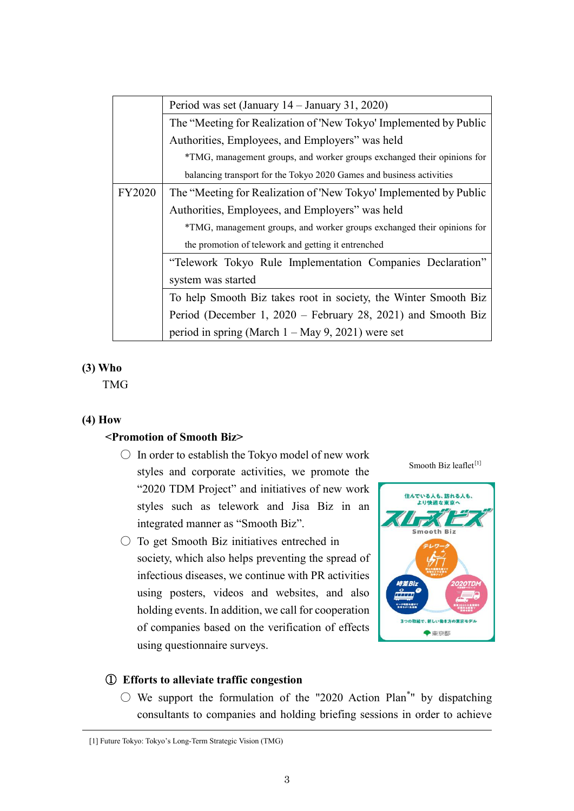|               | Period was set (January $14 -$ January 31, 2020)                        |  |
|---------------|-------------------------------------------------------------------------|--|
|               | The "Meeting for Realization of 'New Tokyo' Implemented by Public       |  |
|               | Authorities, Employees, and Employers" was held                         |  |
|               | *TMG, management groups, and worker groups exchanged their opinions for |  |
|               | balancing transport for the Tokyo 2020 Games and business activities    |  |
| <b>FY2020</b> | The "Meeting for Realization of 'New Tokyo' Implemented by Public       |  |
|               | Authorities, Employees, and Employers" was held                         |  |
|               | *TMG, management groups, and worker groups exchanged their opinions for |  |
|               | the promotion of telework and getting it entrenched                     |  |
|               | "Telework Tokyo Rule Implementation Companies Declaration"              |  |
|               | system was started                                                      |  |
|               | To help Smooth Biz takes root in society, the Winter Smooth Biz         |  |
|               | Period (December 1, 2020 – February 28, 2021) and Smooth Biz            |  |
|               | period in spring (March $1 - May 9$ , 2021) were set                    |  |

### **(3) Who**

TMG

### **(4) How**

### **<Promotion of Smooth Biz>**

- $\bigcirc$  In order to establish the Tokyo model of new work styles and corporate activities, we promote the "2020 TDM Project" and initiatives of new work styles such as telework and Jisa Biz in an integrated manner as "Smooth Biz".
- $\circ$  To get Smooth Biz initiatives entreched in society, which also helps preventing the spread of infectious diseases, we continue with PR activities using posters, videos and websites, and also holding events. In addition, we call for cooperation of companies based on the verification of effects using questionnaire surveys.

Smooth Biz leaflet<sup>[1]</sup>



## ① **Efforts to alleviate traffic congestion**

 $\circlearrowright$  We support the formulation of the "2020 Action Plan\*" by dispatching consultants to companies and holding briefing sessions in order to achieve

<sup>[1]</sup> Future Tokyo: Tokyo's Long-Term Strategic Vision (TMG)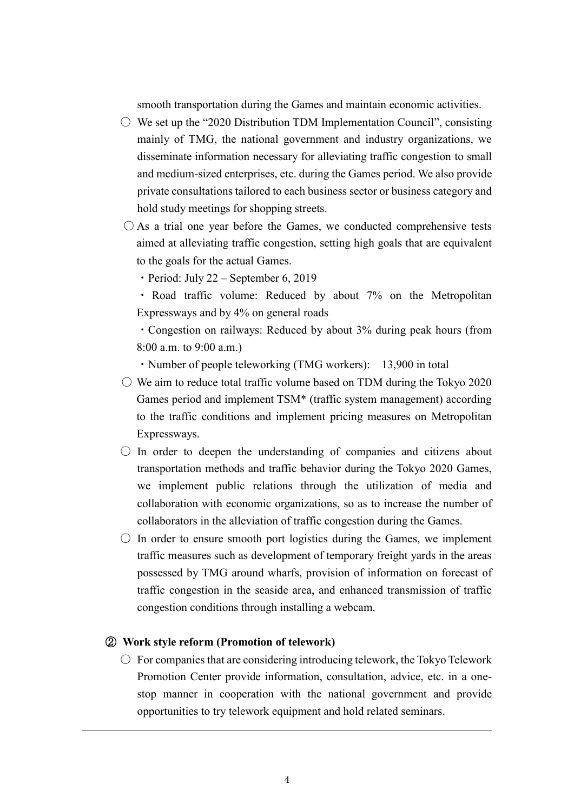smooth transportation during the Games and maintain economic activities.

- $\circ$  We set up the "2020 Distribution TDM Implementation Council", consisting mainly of TMG, the national government and industry organizations, we disseminate information necessary for alleviating traffic congestion to small and medium-sized enterprises, etc. during the Games period. We also provide private consultations tailored to each business sector or business category and hold study meetings for shopping streets.
- $\bigcirc$  As a trial one year before the Games, we conducted comprehensive tests aimed at alleviating traffic congestion, setting high goals that are equivalent to the goals for the actual Games.
	- $\cdot$  Period: July 22 September 6, 2019
	- ・ Road traffic volume: Reduced by about 7% on the Metropolitan Expressways and by 4% on general roads

・Congestion on railways: Reduced by about 3% during peak hours (from 8:00 a.m. to 9:00 a.m.)

• Number of people teleworking (TMG workers): 13,900 in total

- $\circ$  We aim to reduce total traffic volume based on TDM during the Tokyo 2020 Games period and implement TSM\* (traffic system management) according to the traffic conditions and implement pricing measures on Metropolitan Expressways.
- $\circ$  In order to deepen the understanding of companies and citizens about transportation methods and traffic behavior during the Tokyo 2020 Games, we implement public relations through the utilization of media and collaboration with economic organizations, so as to increase the number of collaborators in the alleviation of traffic congestion during the Games.
- $\circ$  In order to ensure smooth port logistics during the Games, we implement traffic measures such as development of temporary freight yards in the areas possessed by TMG around wharfs, provision of information on forecast of traffic congestion in the seaside area, and enhanced transmission of traffic congestion conditions through installing a webcam.

### ② **Work style reform (Promotion of telework)**

 $\circlearrowright$  For companies that are considering introducing telework, the Tokyo Telework Promotion Center provide information, consultation, advice, etc. in a onestop manner in cooperation with the national government and provide opportunities to try telework equipment and hold related seminars.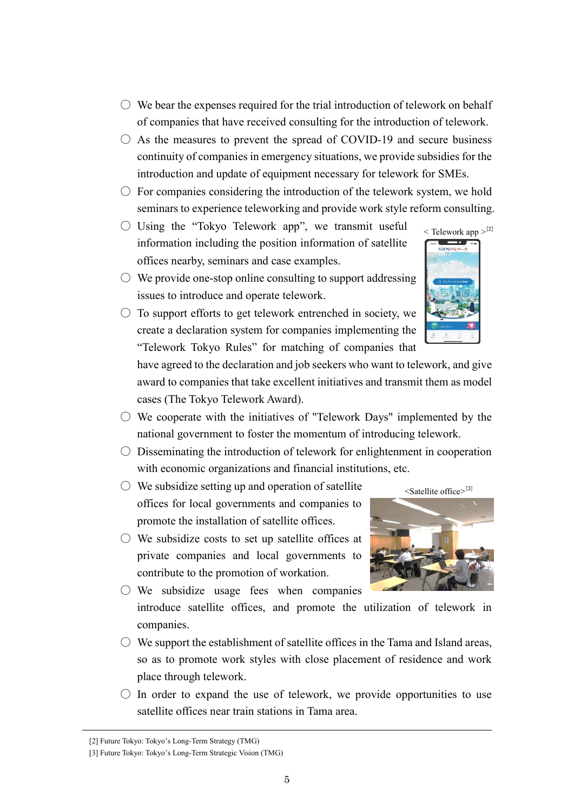- $\circlearrowright$  We bear the expenses required for the trial introduction of telework on behalf of companies that have received consulting for the introduction of telework.
- $\circ$  As the measures to prevent the spread of COVID-19 and secure business continuity of companies in emergency situations, we provide subsidies for the introduction and update of equipment necessary for telework for SMEs.
- $\circ$  For companies considering the introduction of the telework system, we hold seminars to experience teleworking and provide work style reform consulting.
- $\circ$  Using the "Tokyo Telework app", we transmit useful information including the position information of satellite offices nearby, seminars and case examples.
- $\circlearrowright$  We provide one-stop online consulting to support addressing issues to introduce and operate telework.
- $\circ$  To support efforts to get telework entrenched in society, we create a declaration system for companies implementing the "Telework Tokyo Rules" for matching of companies that

have agreed to the declaration and job seekers who want to telework, and give award to companies that take excellent initiatives and transmit them as model cases (The Tokyo Telework Award).

- $\circlearrowright$  We cooperate with the initiatives of "Telework Days" implemented by the national government to foster the momentum of introducing telework.
- $\circlearrowright$  Disseminating the introduction of telework for enlightenment in cooperation with economic organizations and financial institutions, etc.
- $\circlearrowright$  We subsidize setting up and operation of satellite offices for local governments and companies to promote the installation of satellite offices.
- $\circlearrowright$  We subsidize costs to set up satellite offices at private companies and local governments to contribute to the promotion of workation.
- We subsidize usage fees when companies introduce satellite offices, and promote the utilization of telework in companies.
- $\circlearrowright$  We support the establishment of satellite offices in the Tama and Island areas, so as to promote work styles with close placement of residence and work place through telework.
- $\bigcirc$  In order to expand the use of telework, we provide opportunities to use satellite offices near train stations in Tama area.





<sup>[3]</sup> Future Tokyo: Tokyo's Long-Term Strategic Vision (TMG)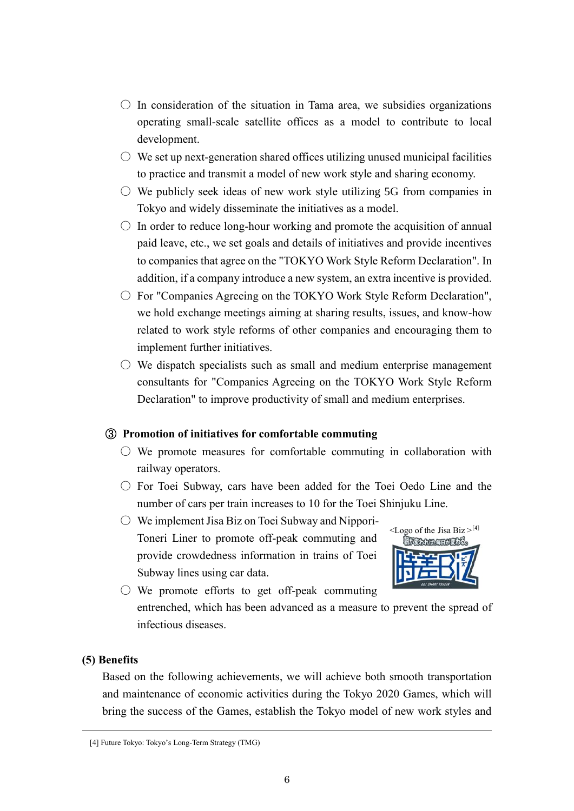- $\circ$  In consideration of the situation in Tama area, we subsidies organizations operating small-scale satellite offices as a model to contribute to local development.
- $\circ$  We set up next-generation shared offices utilizing unused municipal facilities to practice and transmit a model of new work style and sharing economy.
- $\circ$  We publicly seek ideas of new work style utilizing 5G from companies in Tokyo and widely disseminate the initiatives as a model.
- $\circ$  In order to reduce long-hour working and promote the acquisition of annual paid leave, etc., we set goals and details of initiatives and provide incentives to companies that agree on the "TOKYO Work Style Reform Declaration". In addition, if a company introduce a new system, an extra incentive is provided.
- For "Companies Agreeing on the TOKYO Work Style Reform Declaration", we hold exchange meetings aiming at sharing results, issues, and know-how related to work style reforms of other companies and encouraging them to implement further initiatives.
- $\circ$  We dispatch specialists such as small and medium enterprise management consultants for "Companies Agreeing on the TOKYO Work Style Reform Declaration" to improve productivity of small and medium enterprises.

### ③ **Promotion of initiatives for comfortable commuting**

- $\circlearrowright$  We promote measures for comfortable commuting in collaboration with railway operators.
- $\circ$  For Toei Subway, cars have been added for the Toei Oedo Line and the number of cars per train increases to 10 for the Toei Shinjuku Line.
- We implement Jisa Biz on Toei Subway and Nippori-Toneri Liner to promote off-peak commuting and provide crowdedness information in trains of Toei Subway lines using car data.



 $\bigcirc$  We promote efforts to get off-peak commuting entrenched, which has been advanced as a measure to prevent the spread of infectious diseases.

### **(5) Benefits**

Based on the following achievements, we will achieve both smooth transportation and maintenance of economic activities during the Tokyo 2020 Games, which will bring the success of the Games, establish the Tokyo model of new work styles and

<sup>[4]</sup> Future Tokyo: Tokyo's Long-Term Strategy (TMG)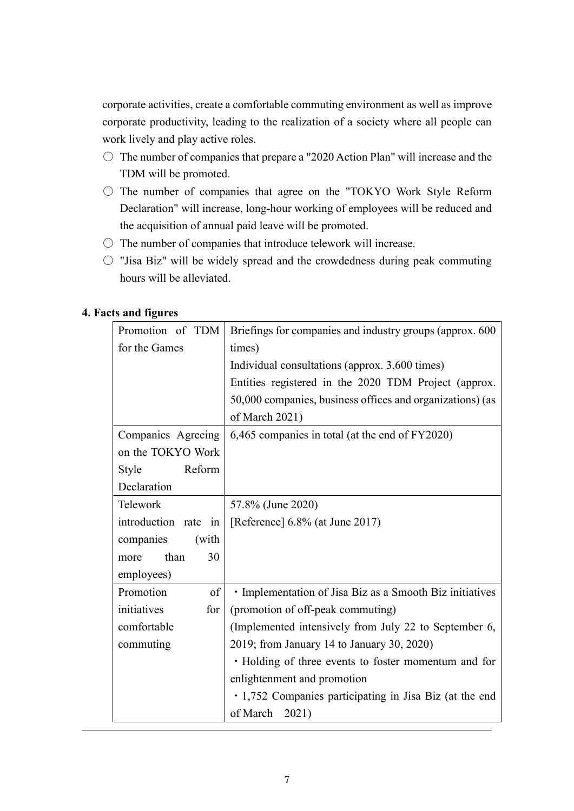corporate activities, create a comfortable commuting environment as well as improve corporate productivity, leading to the realization of a society where all people can work lively and play active roles.

- $\circ$  The number of companies that prepare a "2020 Action Plan" will increase and the TDM will be promoted.
- $\circ$  The number of companies that agree on the "TOKYO Work Style Reform Declaration" will increase, long-hour working of employees will be reduced and the acquisition of annual paid leave will be promoted.
- $\circ$  The number of companies that introduce telework will increase.
- $\circ$  "Jisa Biz" will be widely spread and the crowdedness during peak commuting hours will be alleviated.

### **4. Facts and figures**

| Promotion of TDM     | Briefings for companies and industry groups (approx. 600  |
|----------------------|-----------------------------------------------------------|
| for the Games        | times)                                                    |
|                      | Individual consultations (approx. 3,600 times)            |
|                      | Entities registered in the 2020 TDM Project (approx.      |
|                      | 50,000 companies, business offices and organizations) (as |
|                      | of March 2021)                                            |
| Companies Agreeing   | 6,465 companies in total (at the end of FY2020)           |
| on the TOKYO Work    |                                                           |
| Reform<br>Style      |                                                           |
| Declaration          |                                                           |
| Telework             | 57.8% (June 2020)                                         |
| introduction rate in | [Reference] $6.8\%$ (at June 2017)                        |
| companies<br>(with   |                                                           |
| than<br>30<br>more   |                                                           |
| employees)           |                                                           |
| Promotion<br>of      | · Implementation of Jisa Biz as a Smooth Biz initiatives  |
| initiatives<br>for   | (promotion of off-peak commuting)                         |
| comfortable          | (Implemented intensively from July 22 to September 6,     |
| commuting            | 2019; from January 14 to January 30, 2020)                |
|                      | · Holding of three events to foster momentum and for      |
|                      | enlightenment and promotion                               |
|                      | • 1,752 Companies participating in Jisa Biz (at the end   |
|                      | of March 2021)                                            |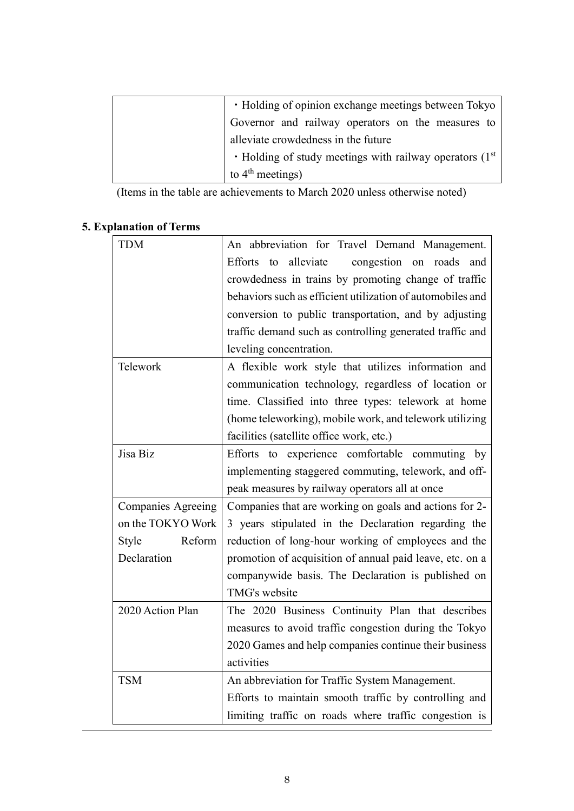| · Holding of opinion exchange meetings between Tokyo           |
|----------------------------------------------------------------|
| Governor and railway operators on the measures to              |
| alleviate crowdedness in the future                            |
| $\cdot$ Holding of study meetings with railway operators (1st) |
| to $4th$ meetings)                                             |

(Items in the table are achievements to March 2020 unless otherwise noted)

# **5. Explanation of Terms**

| <b>TDM</b>                | An abbreviation for Travel Demand Management.              |
|---------------------------|------------------------------------------------------------|
|                           | alleviate<br>congestion on roads<br>Efforts to<br>and      |
|                           | crowdedness in trains by promoting change of traffic       |
|                           | behaviors such as efficient utilization of automobiles and |
|                           | conversion to public transportation, and by adjusting      |
|                           | traffic demand such as controlling generated traffic and   |
|                           | leveling concentration.                                    |
| Telework                  | A flexible work style that utilizes information and        |
|                           | communication technology, regardless of location or        |
|                           | time. Classified into three types: telework at home        |
|                           | (home teleworking), mobile work, and telework utilizing    |
|                           | facilities (satellite office work, etc.)                   |
| Jisa Biz                  | Efforts to experience comfortable commuting by             |
|                           | implementing staggered commuting, telework, and off-       |
|                           | peak measures by railway operators all at once             |
| <b>Companies Agreeing</b> | Companies that are working on goals and actions for 2-     |
| on the TOKYO Work         | 3 years stipulated in the Declaration regarding the        |
| Reform<br>Style           | reduction of long-hour working of employees and the        |
| Declaration               | promotion of acquisition of annual paid leave, etc. on a   |
|                           | companywide basis. The Declaration is published on         |
|                           | TMG's website                                              |
| 2020 Action Plan          | The 2020 Business Continuity Plan that describes           |
|                           | measures to avoid traffic congestion during the Tokyo      |
|                           | 2020 Games and help companies continue their business      |
|                           | activities                                                 |
| <b>TSM</b>                | An abbreviation for Traffic System Management.             |
|                           | Efforts to maintain smooth traffic by controlling and      |
|                           | limiting traffic on roads where traffic congestion is      |